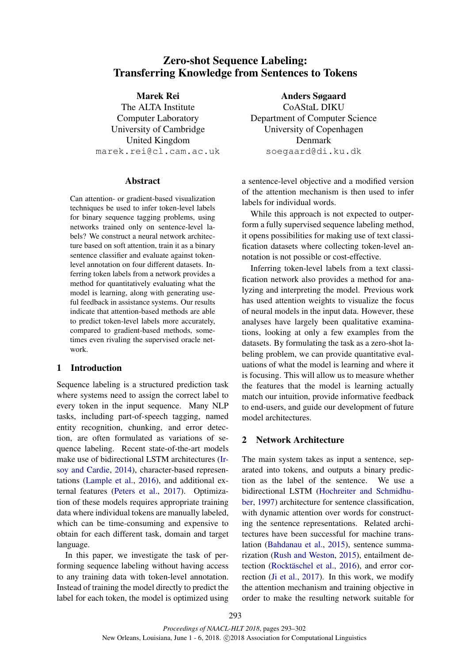# Zero-shot Sequence Labeling: Transferring Knowledge from Sentences to Tokens

## Marek Rei

The ALTA Institute Computer Laboratory University of Cambridge United Kingdom marek.rei@cl.cam.ac.uk

### Abstract

Can attention- or gradient-based visualization techniques be used to infer token-level labels for binary sequence tagging problems, using networks trained only on sentence-level labels? We construct a neural network architecture based on soft attention, train it as a binary sentence classifier and evaluate against tokenlevel annotation on four different datasets. Inferring token labels from a network provides a method for quantitatively evaluating what the model is learning, along with generating useful feedback in assistance systems. Our results indicate that attention-based methods are able to predict token-level labels more accurately, compared to gradient-based methods, sometimes even rivaling the supervised oracle network.

## 1 Introduction

Sequence labeling is a structured prediction task where systems need to assign the correct label to every token in the input sequence. Many NLP tasks, including part-of-speech tagging, named entity recognition, chunking, and error detection, are often formulated as variations of sequence labeling. Recent state-of-the-art models make use of bidirectional LSTM architectures (Irsoy and Cardie, 2014), character-based representations (Lample et al., 2016), and additional external features (Peters et al., 2017). Optimization of these models requires appropriate training data where individual tokens are manually labeled, which can be time-consuming and expensive to obtain for each different task, domain and target language.

In this paper, we investigate the task of performing sequence labeling without having access to any training data with token-level annotation. Instead of training the model directly to predict the label for each token, the model is optimized using

Anders Søgaard CoAStaL DIKU Department of Computer Science University of Copenhagen Denmark soegaard@di.ku.dk

a sentence-level objective and a modified version of the attention mechanism is then used to infer labels for individual words.

While this approach is not expected to outperform a fully supervised sequence labeling method, it opens possibilities for making use of text classification datasets where collecting token-level annotation is not possible or cost-effective.

Inferring token-level labels from a text classification network also provides a method for analyzing and interpreting the model. Previous work has used attention weights to visualize the focus of neural models in the input data. However, these analyses have largely been qualitative examinations, looking at only a few examples from the datasets. By formulating the task as a zero-shot labeling problem, we can provide quantitative evaluations of what the model is learning and where it is focusing. This will allow us to measure whether the features that the model is learning actually match our intuition, provide informative feedback to end-users, and guide our development of future model architectures.

## 2 Network Architecture

The main system takes as input a sentence, separated into tokens, and outputs a binary prediction as the label of the sentence. We use a bidirectional LSTM (Hochreiter and Schmidhuber, 1997) architecture for sentence classification, with dynamic attention over words for constructing the sentence representations. Related architectures have been successful for machine translation (Bahdanau et al., 2015), sentence summarization (Rush and Weston, 2015), entailment detection (Rocktäschel et al., 2016), and error correction (Ji et al., 2017). In this work, we modify the attention mechanism and training objective in order to make the resulting network suitable for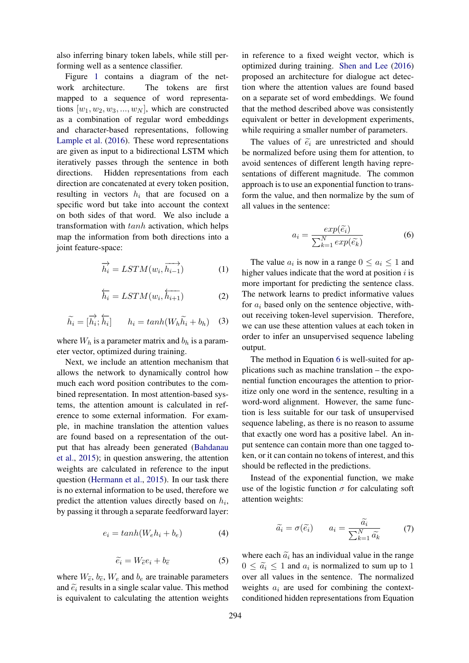also inferring binary token labels, while still performing well as a sentence classifier.

Figure 1 contains a diagram of the network architecture. The tokens are first mapped to a sequence of word representations  $[w_1, w_2, w_3, ..., w_N]$ , which are constructed as a combination of regular word embeddings and character-based representations, following Lample et al. (2016). These word representations are given as input to a bidirectional LSTM which iteratively passes through the sentence in both directions. Hidden representations from each direction are concatenated at every token position, resulting in vectors  $h_i$  that are focused on a specific word but take into account the context on both sides of that word. We also include a transformation with tanh activation, which helps map the information from both directions into a joint feature-space:

$$
\overrightarrow{h_i} = LSTM(w_i, \overrightarrow{h_{i-1}}) \tag{1}
$$

$$
\overleftarrow{h_i} = LSTM(w_i, \overleftarrow{h_{i+1}}) \tag{2}
$$

$$
\widetilde{h_i} = [\overrightarrow{h_i}; \overleftarrow{h_i}] \qquad h_i = \tanh(W_h \widetilde{h_i} + b_h) \quad (3)
$$

where  $W_h$  is a parameter matrix and  $b_h$  is a parameter vector, optimized during training.

Next, we include an attention mechanism that allows the network to dynamically control how much each word position contributes to the combined representation. In most attention-based systems, the attention amount is calculated in reference to some external information. For example, in machine translation the attention values are found based on a representation of the output that has already been generated (Bahdanau et al., 2015); in question answering, the attention weights are calculated in reference to the input question (Hermann et al., 2015). In our task there is no external information to be used, therefore we predict the attention values directly based on  $h_i$ , by passing it through a separate feedforward layer:

$$
e_i = \tanh(W_e h_i + b_e) \tag{4}
$$

$$
\widetilde{e_i} = W_{\widetilde{e}} e_i + b_{\widetilde{e}} \tag{5}
$$

where  $W_{\tilde{e}}$ ,  $b_{\tilde{e}}$ ,  $W_e$  and  $b_e$  are trainable parameters and  $\tilde{e}_i$  results in a single scalar value. This method is equivalent to calculating the attention weights

in reference to a fixed weight vector, which is optimized during training. Shen and Lee (2016) proposed an architecture for dialogue act detection where the attention values are found based on a separate set of word embeddings. We found that the method described above was consistently equivalent or better in development experiments, while requiring a smaller number of parameters.

The values of  $\tilde{e}_i$  are unrestricted and should be normalized before using them for attention, to avoid sentences of different length having representations of different magnitude. The common approach is to use an exponential function to transform the value, and then normalize by the sum of all values in the sentence:

$$
a_i = \frac{exp(\tilde{e}_i)}{\sum_{k=1}^{N} exp(\tilde{e}_k)}
$$
 (6)

The value  $a_i$  is now in a range  $0 \le a_i \le 1$  and higher values indicate that the word at position  $i$  is more important for predicting the sentence class. The network learns to predict informative values for  $a_i$  based only on the sentence objective, without receiving token-level supervision. Therefore, we can use these attention values at each token in order to infer an unsupervised sequence labeling output.

The method in Equation 6 is well-suited for applications such as machine translation – the exponential function encourages the attention to prioritize only one word in the sentence, resulting in a word-word alignment. However, the same function is less suitable for our task of unsupervised sequence labeling, as there is no reason to assume that exactly one word has a positive label. An input sentence can contain more than one tagged token, or it can contain no tokens of interest, and this should be reflected in the predictions.

Instead of the exponential function, we make use of the logistic function  $\sigma$  for calculating soft attention weights:

$$
\widetilde{a_i} = \sigma(\widetilde{e_i}) \qquad a_i = \frac{\widetilde{a_i}}{\sum_{k=1}^N \widetilde{a_k}} \qquad (7)
$$

where each  $\tilde{a}_i$  has an individual value in the range  $0 \leq \tilde{a}_i \leq 1$  and  $a_i$  is normalized to sum up to 1 over all values in the sentence. The normalized weights  $a_i$  are used for combining the contextconditioned hidden representations from Equation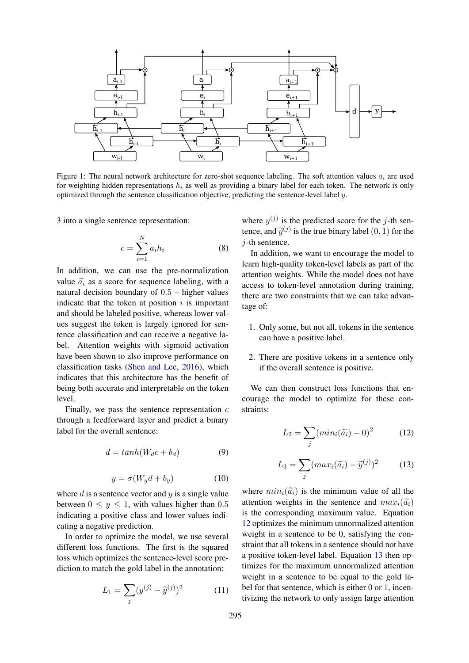

Figure 1: The neural network architecture for zero-shot sequence labeling. The soft attention values  $a_i$  are used for weighting hidden representations  $h_i$  as well as providing a binary label for each token. The network is only optimized through the sentence classification objective, predicting the sentence-level label y.

3 into a single sentence representation:

$$
c = \sum_{i=1}^{N} a_i h_i \tag{8}
$$

In addition, we can use the pre-normalization value  $\tilde{a}_i$  as a score for sequence labeling, with a natural decision boundary of  $0.5$  – higher values indicate that the token at position  $i$  is important and should be labeled positive, whereas lower values suggest the token is largely ignored for sentence classification and can receive a negative label. Attention weights with sigmoid activation have been shown to also improve performance on classification tasks (Shen and Lee, 2016), which indicates that this architecture has the benefit of being both accurate and interpretable on the token level.

Finally, we pass the sentence representation  $c$ through a feedforward layer and predict a binary label for the overall sentence:

$$
d = \tanh(W_d c + b_d) \tag{9}
$$

$$
y = \sigma(W_y d + b_y) \tag{10}
$$

where  $d$  is a sentence vector and  $y$  is a single value between  $0 \leq y \leq 1$ , with values higher than 0.5 indicating a positive class and lower values indicating a negative prediction.

In order to optimize the model, we use several different loss functions. The first is the squared loss which optimizes the sentence-level score prediction to match the gold label in the annotation:

$$
L_1 = \sum_{j} (y^{(j)} - \tilde{y}^{(j)})^2 \tag{11}
$$

where  $y^{(j)}$  is the predicted score for the j-th sentence, and  $\tilde{y}^{(j)}$  is the true binary label  $(0, 1)$  for the  $i$ -th sentence.

In addition, we want to encourage the model to learn high-quality token-level labels as part of the attention weights. While the model does not have access to token-level annotation during training, there are two constraints that we can take advantage of:

- 1. Only some, but not all, tokens in the sentence can have a positive label.
- 2. There are positive tokens in a sentence only if the overall sentence is positive.

We can then construct loss functions that encourage the model to optimize for these constraints:

$$
L_2 = \sum_j (min_i(\widetilde{a_i}) - 0)^2 \tag{12}
$$

$$
L_3 = \sum_j (max_i(\widetilde{a_i}) - \widetilde{y}^{(j)})^2 \tag{13}
$$

where  $min_i(\tilde{a}_i)$  is the minimum value of all the attention weights in the sentence and  $max_i(\tilde{a}_i)$ is the corresponding maximum value. Equation 12 optimizes the minimum unnormalized attention weight in a sentence to be 0, satisfying the constraint that all tokens in a sentence should not have a positive token-level label. Equation 13 then optimizes for the maximum unnormalized attention weight in a sentence to be equal to the gold label for that sentence, which is either 0 or 1, incentivizing the network to only assign large attention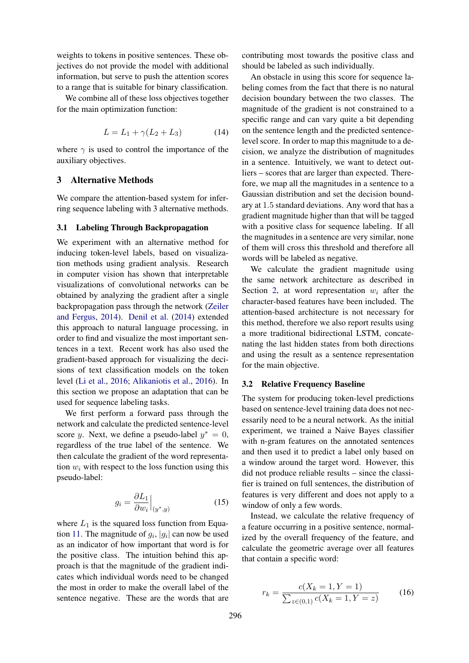weights to tokens in positive sentences. These objectives do not provide the model with additional information, but serve to push the attention scores to a range that is suitable for binary classification.

We combine all of these loss objectives together for the main optimization function:

$$
L = L_1 + \gamma (L_2 + L_3) \tag{14}
$$

where  $\gamma$  is used to control the importance of the auxiliary objectives.

## 3 Alternative Methods

We compare the attention-based system for inferring sequence labeling with 3 alternative methods.

#### 3.1 Labeling Through Backpropagation

We experiment with an alternative method for inducing token-level labels, based on visualization methods using gradient analysis. Research in computer vision has shown that interpretable visualizations of convolutional networks can be obtained by analyzing the gradient after a single backpropagation pass through the network (Zeiler and Fergus, 2014). Denil et al. (2014) extended this approach to natural language processing, in order to find and visualize the most important sentences in a text. Recent work has also used the gradient-based approach for visualizing the decisions of text classification models on the token level (Li et al., 2016; Alikaniotis et al., 2016). In this section we propose an adaptation that can be used for sequence labeling tasks.

We first perform a forward pass through the network and calculate the predicted sentence-level score y. Next, we define a pseudo-label  $y^* = 0$ , regardless of the true label of the sentence. We then calculate the gradient of the word representation  $w_i$  with respect to the loss function using this pseudo-label:

$$
g_i = \frac{\partial L_1}{\partial w_i}\Big|_{(y^*,y)}\tag{15}
$$

where  $L_1$  is the squared loss function from Equation 11. The magnitude of  $g_i$ ,  $|g_i|$  can now be used as an indicator of how important that word is for the positive class. The intuition behind this approach is that the magnitude of the gradient indicates which individual words need to be changed the most in order to make the overall label of the sentence negative. These are the words that are

contributing most towards the positive class and should be labeled as such individually.

An obstacle in using this score for sequence labeling comes from the fact that there is no natural decision boundary between the two classes. The magnitude of the gradient is not constrained to a specific range and can vary quite a bit depending on the sentence length and the predicted sentencelevel score. In order to map this magnitude to a decision, we analyze the distribution of magnitudes in a sentence. Intuitively, we want to detect outliers – scores that are larger than expected. Therefore, we map all the magnitudes in a sentence to a Gaussian distribution and set the decision boundary at 1.5 standard deviations. Any word that has a gradient magnitude higher than that will be tagged with a positive class for sequence labeling. If all the magnitudes in a sentence are very similar, none of them will cross this threshold and therefore all words will be labeled as negative.

We calculate the gradient magnitude using the same network architecture as described in Section 2, at word representation  $w_i$  after the character-based features have been included. The attention-based architecture is not necessary for this method, therefore we also report results using a more traditional bidirectional LSTM, concatenating the last hidden states from both directions and using the result as a sentence representation for the main objective.

#### 3.2 Relative Frequency Baseline

The system for producing token-level predictions based on sentence-level training data does not necessarily need to be a neural network. As the initial experiment, we trained a Naive Bayes classifier with n-gram features on the annotated sentences and then used it to predict a label only based on a window around the target word. However, this did not produce reliable results – since the classifier is trained on full sentences, the distribution of features is very different and does not apply to a window of only a few words.

Instead, we calculate the relative frequency of a feature occurring in a positive sentence, normalized by the overall frequency of the feature, and calculate the geometric average over all features that contain a specific word:

$$
r_k = \frac{c(X_k = 1, Y = 1)}{\sum_{z \in (0,1)} c(X_k = 1, Y = z)}
$$
(16)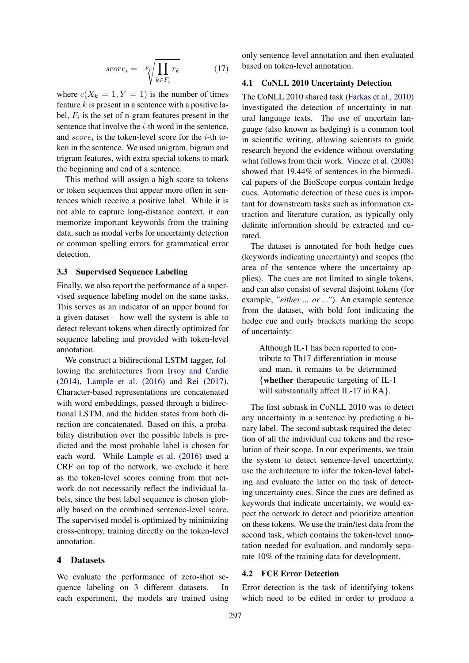$$
score_i = \sqrt{|F_i| \sqrt{\prod_{k \in F_i} r_k}}
$$
 (17)

where  $c(X_k = 1, Y = 1)$  is the number of times feature  $k$  is present in a sentence with a positive label,  $F_i$  is the set of n-gram features present in the sentence that involve the  $i$ -th word in the sentence, and  $score_i$  is the token-level score for the *i*-th token in the sentence. We used unigram, bigram and trigram features, with extra special tokens to mark the beginning and end of a sentence.

This method will assign a high score to tokens or token sequences that appear more often in sentences which receive a positive label. While it is not able to capture long-distance context, it can memorize important keywords from the training data, such as modal verbs for uncertainty detection or common spelling errors for grammatical error detection.

#### 3.3 Supervised Sequence Labeling

Finally, we also report the performance of a supervised sequence labeling model on the same tasks. This serves as an indicator of an upper bound for a given dataset – how well the system is able to detect relevant tokens when directly optimized for sequence labeling and provided with token-level annotation.

We construct a bidirectional LSTM tagger, following the architectures from Irsoy and Cardie (2014), Lample et al. (2016) and Rei (2017). Character-based representations are concatenated with word embeddings, passed through a bidirectional LSTM, and the hidden states from both direction are concatenated. Based on this, a probability distribution over the possible labels is predicted and the most probable label is chosen for each word. While Lample et al. (2016) used a CRF on top of the network, we exclude it here as the token-level scores coming from that network do not necessarily reflect the individual labels, since the best label sequence is chosen globally based on the combined sentence-level score. The supervised model is optimized by minimizing cross-entropy, training directly on the token-level annotation.

#### 4 Datasets

We evaluate the performance of zero-shot sequence labeling on 3 different datasets. In each experiment, the models are trained using

only sentence-level annotation and then evaluated based on token-level annotation.

#### 4.1 CoNLL 2010 Uncertainty Detection

The CoNLL 2010 shared task (Farkas et al., 2010) investigated the detection of uncertainty in natural language texts. The use of uncertain language (also known as hedging) is a common tool in scientific writing, allowing scientists to guide research beyond the evidence without overstating what follows from their work. Vincze et al. (2008) showed that 19.44% of sentences in the biomedical papers of the BioScope corpus contain hedge cues. Automatic detection of these cues is important for downstream tasks such as information extraction and literature curation, as typically only definite information should be extracted and curated.

The dataset is annotated for both hedge cues (keywords indicating uncertainty) and scopes (the area of the sentence where the uncertainty applies). The cues are not limited to single tokens, and can also consist of several disjoint tokens (for example, *"either ... or ..."*). An example sentence from the dataset, with bold font indicating the hedge cue and curly brackets marking the scope of uncertainty:

Although IL-1 has been reported to contribute to Th17 differentiation in mouse and man, it remains to be determined {whether therapeutic targeting of IL-1 will substantially affect IL-17 in RA }.

The first subtask in CoNLL 2010 was to detect any uncertainty in a sentence by predicting a binary label. The second subtask required the detection of all the individual cue tokens and the resolution of their scope. In our experiments, we train the system to detect sentence-level uncertainty, use the architecture to infer the token-level labeling and evaluate the latter on the task of detecting uncertainty cues. Since the cues are defined as keywords that indicate uncertainty, we would expect the network to detect and prioritize attention on these tokens. We use the train/test data from the second task, which contains the token-level annotation needed for evaluation, and randomly separate 10% of the training data for development.

### 4.2 FCE Error Detection

Error detection is the task of identifying tokens which need to be edited in order to produce a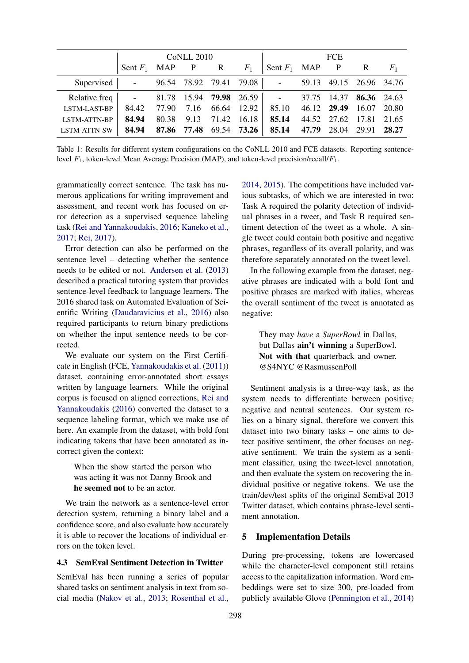|                                                                       | <b>CoNLL 2010</b>        |                         |  |  |  | <b>FCE</b>                                                 |  |  |  |  |
|-----------------------------------------------------------------------|--------------------------|-------------------------|--|--|--|------------------------------------------------------------|--|--|--|--|
|                                                                       | Sent $F_1$ MAP P R $F_1$ |                         |  |  |  | Sent $F_1$ MAP P R $F_1$                                   |  |  |  |  |
| Supervised - 96.54 78.92 79.41 79.08 - 59.13 49.15 26.96 34.76        |                          |                         |  |  |  |                                                            |  |  |  |  |
| Relative freq   - 81.78 15.94 79.98 26.59   - 37.75 14.37 86.36 24.63 |                          |                         |  |  |  |                                                            |  |  |  |  |
| <b>LSTM-LAST-BP</b>                                                   |                          |                         |  |  |  | 84.42 77.90 7.16 66.64 12.92 85.10 46.12 29.49 16.07 20.80 |  |  |  |  |
| <b>LSTM-ATTN-BP</b>                                                   | 84.94                    | 80.38 9.13 71.42 16.18  |  |  |  | 85.14 44.52 27.62 17.81 21.65                              |  |  |  |  |
| LSTM-ATTN-SW                                                          | 84.94                    | 87.86 77.48 69.54 73.26 |  |  |  | 85.14 47.79 28.04 29.91 28.27                              |  |  |  |  |

Table 1: Results for different system configurations on the CoNLL 2010 and FCE datasets. Reporting sentencelevel  $F_1$ , token-level Mean Average Precision (MAP), and token-level precision/recall/ $F_1$ .

grammatically correct sentence. The task has numerous applications for writing improvement and assessment, and recent work has focused on error detection as a supervised sequence labeling task (Rei and Yannakoudakis, 2016; Kaneko et al., 2017; Rei, 2017).

Error detection can also be performed on the sentence level – detecting whether the sentence needs to be edited or not. Andersen et al. (2013) described a practical tutoring system that provides sentence-level feedback to language learners. The 2016 shared task on Automated Evaluation of Scientific Writing (Daudaravicius et al., 2016) also required participants to return binary predictions on whether the input sentence needs to be corrected.

We evaluate our system on the First Certificate in English (FCE, Yannakoudakis et al. (2011)) dataset, containing error-annotated short essays written by language learners. While the original corpus is focused on aligned corrections, Rei and Yannakoudakis (2016) converted the dataset to a sequence labeling format, which we make use of here. An example from the dataset, with bold font indicating tokens that have been annotated as incorrect given the context:

When the show started the person who was acting it was not Danny Brook and he seemed not to be an actor.

We train the network as a sentence-level error detection system, returning a binary label and a confidence score, and also evaluate how accurately it is able to recover the locations of individual errors on the token level.

#### 4.3 SemEval Sentiment Detection in Twitter

SemEval has been running a series of popular shared tasks on sentiment analysis in text from social media (Nakov et al., 2013; Rosenthal et al.,

2014, 2015). The competitions have included various subtasks, of which we are interested in two: Task A required the polarity detection of individual phrases in a tweet, and Task B required sentiment detection of the tweet as a whole. A single tweet could contain both positive and negative phrases, regardless of its overall polarity, and was therefore separately annotated on the tweet level.

In the following example from the dataset, negative phrases are indicated with a bold font and positive phrases are marked with italics, whereas the overall sentiment of the tweet is annotated as negative:

They may *have* a *SuperBowl* in Dallas, but Dallas ain't winning a SuperBowl. Not with that quarterback and owner. @S4NYC @RasmussenPoll

Sentiment analysis is a three-way task, as the system needs to differentiate between positive, negative and neutral sentences. Our system relies on a binary signal, therefore we convert this dataset into two binary tasks – one aims to detect positive sentiment, the other focuses on negative sentiment. We train the system as a sentiment classifier, using the tweet-level annotation, and then evaluate the system on recovering the individual positive or negative tokens. We use the train/dev/test splits of the original SemEval 2013 Twitter dataset, which contains phrase-level sentiment annotation.

#### 5 Implementation Details

During pre-processing, tokens are lowercased while the character-level component still retains access to the capitalization information. Word embeddings were set to size 300, pre-loaded from publicly available Glove (Pennington et al., 2014)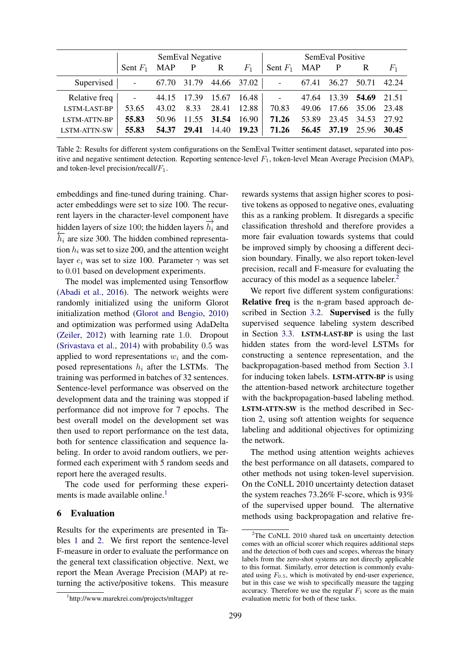|                                           | SemEval Negative<br>and the state of the state of |       |                   |                   | SemEval Positive |                    |       |  |                         |       |
|-------------------------------------------|---------------------------------------------------|-------|-------------------|-------------------|------------------|--------------------|-------|--|-------------------------|-------|
|                                           | Sent $F_1$ MAP P R                                |       |                   |                   | $F_1$            | Sent $F_1$ MAP P R |       |  |                         | $F_1$ |
| Supervised   - 67.70 31.79 44.66 37.02    |                                                   |       |                   |                   |                  | المستوفي والمنابذ  | 67.41 |  | 36.27 50.71 42.24       |       |
| Relative freq   - 44.15 17.39 15.67 16.48 |                                                   |       |                   |                   |                  |                    |       |  | 47.64 13.39 54.69 21.51 |       |
| LSTM-LAST-BP                              | 53.65                                             | 43.02 | 8.33              | 28.41 12.88       |                  | 70.83              |       |  | 49.06 17.66 35.06 23.48 |       |
| <b>LSTM-ATTN-BP</b>                       | 55.83                                             | 50.96 | 11.55 31.54 16.90 |                   |                  | 71.26              |       |  | 53.89 23.45 34.53 27.92 |       |
| LSTM-ATTN-SW                              | 55.83                                             | 54.37 |                   | 29.41 14.40 19.23 |                  | 71.26              |       |  | 56.45 37.19 25.96 30.45 |       |

Table 2: Results for different system configurations on the SemEval Twitter sentiment dataset, separated into positive and negative sentiment detection. Reporting sentence-level  $F_1$ , token-level Mean Average Precision (MAP), and token-level precision/recall/ $F_1$ .

embeddings and fine-tuned during training. Character embeddings were set to size 100. The recurrent layers in the character-level component have hidden layers of size 100; the hidden layers  $\overrightarrow{h_i}$  and  $\overleftarrow{h_i}$  are size 300. The hidden combined representation  $h_i$  was set to size 200, and the attention weight layer  $e_i$  was set to size 100. Parameter  $\gamma$  was set to 0.01 based on development experiments.

The model was implemented using Tensorflow (Abadi et al., 2016). The network weights were randomly initialized using the uniform Glorot initialization method (Glorot and Bengio, 2010) and optimization was performed using AdaDelta (Zeiler, 2012) with learning rate 1.0. Dropout (Srivastava et al., 2014) with probability 0.5 was applied to word representations  $w_i$  and the composed representations  $h_i$  after the LSTMs. The training was performed in batches of 32 sentences. Sentence-level performance was observed on the development data and the training was stopped if performance did not improve for 7 epochs. The best overall model on the development set was then used to report performance on the test data, both for sentence classification and sequence labeling. In order to avoid random outliers, we performed each experiment with 5 random seeds and report here the averaged results.

The code used for performing these experiments is made available online.<sup>1</sup>

## 6 Evaluation

Results for the experiments are presented in Tables 1 and 2. We first report the sentence-level F-measure in order to evaluate the performance on the general text classification objective. Next, we report the Mean Average Precision (MAP) at returning the active/positive tokens. This measure

299

rewards systems that assign higher scores to positive tokens as opposed to negative ones, evaluating this as a ranking problem. It disregards a specific classification threshold and therefore provides a more fair evaluation towards systems that could be improved simply by choosing a different decision boundary. Finally, we also report token-level precision, recall and F-measure for evaluating the accuracy of this model as a sequence labeler.<sup>2</sup>

We report five different system configurations: Relative freq is the n-gram based approach described in Section 3.2. Supervised is the fully supervised sequence labeling system described in Section 3.3. LSTM-LAST-BP is using the last hidden states from the word-level LSTMs for constructing a sentence representation, and the backpropagation-based method from Section 3.1 for inducing token labels. LSTM-ATTN-BP is using the attention-based network architecture together with the backpropagation-based labeling method. LSTM-ATTN-SW is the method described in Section 2, using soft attention weights for sequence labeling and additional objectives for optimizing the network.

The method using attention weights achieves the best performance on all datasets, compared to other methods not using token-level supervision. On the CoNLL 2010 uncertainty detection dataset the system reaches 73.26% F-score, which is 93% of the supervised upper bound. The alternative methods using backpropagation and relative fre-

<sup>1</sup> http://www.marekrei.com/projects/mltagger

 $2$ The CoNLL 2010 shared task on uncertainty detection comes with an official scorer which requires additional steps and the detection of both cues and scopes, whereas the binary labels from the zero-shot systems are not directly applicable to this format. Similarly, error detection is commonly evaluated using  $F_{0.5}$ , which is motivated by end-user experience, but in this case we wish to specifically measure the tagging accuracy. Therefore we use the regular  $F_1$  score as the main evaluation metric for both of these tasks.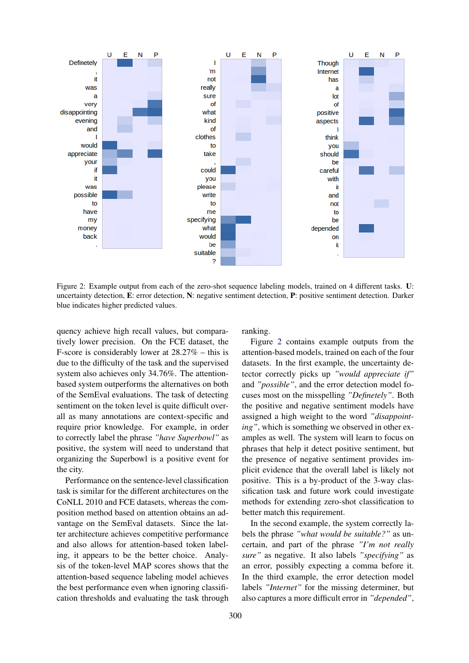

Figure 2: Example output from each of the zero-shot sequence labeling models, trained on 4 different tasks. U: uncertainty detection, E: error detection, N: negative sentiment detection, P: positive sentiment detection. Darker blue indicates higher predicted values.

quency achieve high recall values, but comparatively lower precision. On the FCE dataset, the F-score is considerably lower at 28.27% – this is due to the difficulty of the task and the supervised system also achieves only 34.76%. The attentionbased system outperforms the alternatives on both of the SemEval evaluations. The task of detecting sentiment on the token level is quite difficult overall as many annotations are context-specific and require prior knowledge. For example, in order to correctly label the phrase *"have Superbowl"* as positive, the system will need to understand that organizing the Superbowl is a positive event for the city.

Performance on the sentence-level classification task is similar for the different architectures on the CoNLL 2010 and FCE datasets, whereas the composition method based on attention obtains an advantage on the SemEval datasets. Since the latter architecture achieves competitive performance and also allows for attention-based token labeling, it appears to be the better choice. Analysis of the token-level MAP scores shows that the attention-based sequence labeling model achieves the best performance even when ignoring classification thresholds and evaluating the task through

ranking.

Figure 2 contains example outputs from the attention-based models, trained on each of the four datasets. In the first example, the uncertainty detector correctly picks up *"would appreciate if"* and *"possible"*, and the error detection model focuses most on the misspelling *"Definetely"*. Both the positive and negative sentiment models have assigned a high weight to the word *"disappointing"*, which is something we observed in other examples as well. The system will learn to focus on phrases that help it detect positive sentiment, but the presence of negative sentiment provides implicit evidence that the overall label is likely not positive. This is a by-product of the 3-way classification task and future work could investigate methods for extending zero-shot classification to better match this requirement.

In the second example, the system correctly labels the phrase *"what would be suitable?"* as uncertain, and part of the phrase *"I'm not really sure"* as negative. It also labels *"specifying"* as an error, possibly expecting a comma before it. In the third example, the error detection model labels *"Internet"* for the missing determiner, but also captures a more difficult error in *"depended"*,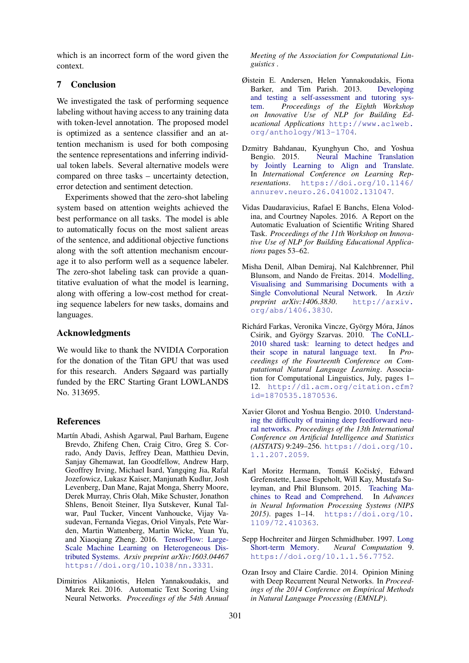which is an incorrect form of the word given the context.

## 7 Conclusion

We investigated the task of performing sequence labeling without having access to any training data with token-level annotation. The proposed model is optimized as a sentence classifier and an attention mechanism is used for both composing the sentence representations and inferring individual token labels. Several alternative models were compared on three tasks – uncertainty detection, error detection and sentiment detection.

Experiments showed that the zero-shot labeling system based on attention weights achieved the best performance on all tasks. The model is able to automatically focus on the most salient areas of the sentence, and additional objective functions along with the soft attention mechanism encourage it to also perform well as a sequence labeler. The zero-shot labeling task can provide a quantitative evaluation of what the model is learning, along with offering a low-cost method for creating sequence labelers for new tasks, domains and languages.

## Acknowledgments

We would like to thank the NVIDIA Corporation for the donation of the Titan GPU that was used for this research. Anders Søgaard was partially funded by the ERC Starting Grant LOWLANDS No. 313695.

#### References

- Martín Abadi, Ashish Agarwal, Paul Barham, Eugene Brevdo, Zhifeng Chen, Craig Citro, Greg S. Corrado, Andy Davis, Jeffrey Dean, Matthieu Devin, Sanjay Ghemawat, Ian Goodfellow, Andrew Harp, Geoffrey Irving, Michael Isard, Yangqing Jia, Rafal Jozefowicz, Lukasz Kaiser, Manjunath Kudlur, Josh Levenberg, Dan Mane, Rajat Monga, Sherry Moore, Derek Murray, Chris Olah, Mike Schuster, Jonathon Shlens, Benoit Steiner, Ilya Sutskever, Kunal Talwar, Paul Tucker, Vincent Vanhoucke, Vijay Vasudevan, Fernanda Viegas, Oriol Vinyals, Pete Warden, Martin Wattenberg, Martin Wicke, Yuan Yu, and Xiaoqiang Zheng. 2016. TensorFlow: Large-Scale Machine Learning on Heterogeneous Distributed Systems. *Arxiv preprint arXiv:1603.04467* https://doi.org/10.1038/nn.3331.
- Dimitrios Alikaniotis, Helen Yannakoudakis, and Marek Rei. 2016. Automatic Text Scoring Using Neural Networks. *Proceedings of the 54th Annual*

*Meeting of the Association for Computational Linguistics* .

- Øistein E. Andersen, Helen Yannakoudakis, Fiona Barker, and Tim Parish. 2013. Developing and testing a self-assessment and tutoring system. *Proceedings of the Eighth Workshop on Innovative Use of NLP for Building Educational Applications* http://www.aclweb. org/anthology/W13-1704.
- Dzmitry Bahdanau, Kyunghyun Cho, and Yoshua Bengio. 2015. Neural Machine Translation by Jointly Learning to Align and Translate. In *International Conference on Learning Representations*. https://doi.org/10.1146/ annurev.neuro.26.041002.131047.
- Vidas Daudaravicius, Rafael E Banchs, Elena Volodina, and Courtney Napoles. 2016. A Report on the Automatic Evaluation of Scientific Writing Shared Task. *Proceedings of the 11th Workshop on Innovative Use of NLP for Building Educational Applications* pages 53–62.
- Misha Denil, Alban Demiraj, Nal Kalchbrenner, Phil Blunsom, and Nando de Freitas. 2014. Modelling, Visualising and Summarising Documents with a Single Convolutional Neural Network. In *Arxiv preprint arXiv:1406.3830*. http://arxiv. org/abs/1406.3830.
- Richárd Farkas, Veronika Vincze, György Móra, János Csirik, and György Szarvas. 2010. The CoNLL-2010 shared task: learning to detect hedges and their scope in natural language text. In *Proceedings of the Fourteenth Conference on Computational Natural Language Learning*. Association for Computational Linguistics, July, pages 1– 12. http://dl.acm.org/citation.cfm? id=1870535.1870536.
- Xavier Glorot and Yoshua Bengio. 2010. Understanding the difficulty of training deep feedforward neural networks. *Proceedings of the 13th International Conference on Artificial Intelligence and Statistics (AISTATS)* 9:249–256. https://doi.org/10. 1.1.207.2059.
- Karl Moritz Hermann, Tomáš Kočiský, Edward Grefenstette, Lasse Espeholt, Will Kay, Mustafa Suleyman, and Phil Blunsom. 2015. Teaching Machines to Read and Comprehend. In *Advances in Neural Information Processing Systems (NIPS 2015)*. pages 1–14. https://doi.org/10. 1109/72.410363.
- Sepp Hochreiter and Jürgen Schmidhuber. 1997. Long Short-term Memory. *Neural Computation* 9. https://doi.org/10.1.1.56.7752.
- Ozan Irsoy and Claire Cardie. 2014. Opinion Mining with Deep Recurrent Neural Networks. In *Proceedings of the 2014 Conference on Empirical Methods in Natural Language Processing (EMNLP)*.